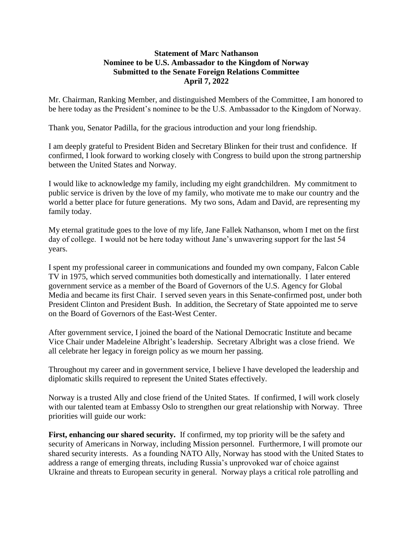## **Statement of Marc Nathanson Nominee to be U.S. Ambassador to the Kingdom of Norway Submitted to the Senate Foreign Relations Committee April 7, 2022**

Mr. Chairman, Ranking Member, and distinguished Members of the Committee, I am honored to be here today as the President's nominee to be the U.S. Ambassador to the Kingdom of Norway.

Thank you, Senator Padilla, for the gracious introduction and your long friendship.

I am deeply grateful to President Biden and Secretary Blinken for their trust and confidence. If confirmed, I look forward to working closely with Congress to build upon the strong partnership between the United States and Norway.

I would like to acknowledge my family, including my eight grandchildren. My commitment to public service is driven by the love of my family, who motivate me to make our country and the world a better place for future generations. My two sons, Adam and David, are representing my family today.

My eternal gratitude goes to the love of my life, Jane Fallek Nathanson, whom I met on the first day of college. I would not be here today without Jane's unwavering support for the last 54 years.

I spent my professional career in communications and founded my own company, Falcon Cable TV in 1975, which served communities both domestically and internationally. I later entered government service as a member of the Board of Governors of the U.S. Agency for Global Media and became its first Chair. I served seven years in this Senate-confirmed post, under both President Clinton and President Bush. In addition, the Secretary of State appointed me to serve on the Board of Governors of the East-West Center.

After government service, I joined the board of the National Democratic Institute and became Vice Chair under Madeleine Albright's leadership. Secretary Albright was a close friend. We all celebrate her legacy in foreign policy as we mourn her passing.

Throughout my career and in government service, I believe I have developed the leadership and diplomatic skills required to represent the United States effectively.

Norway is a trusted Ally and close friend of the United States. If confirmed, I will work closely with our talented team at Embassy Oslo to strengthen our great relationship with Norway. Three priorities will guide our work:

First, enhancing our shared security. If confirmed, my top priority will be the safety and security of Americans in Norway, including Mission personnel. Furthermore, I will promote our shared security interests. As a founding NATO Ally, Norway has stood with the United States to address a range of emerging threats, including Russia's unprovoked war of choice against Ukraine and threats to European security in general. Norway plays a critical role patrolling and